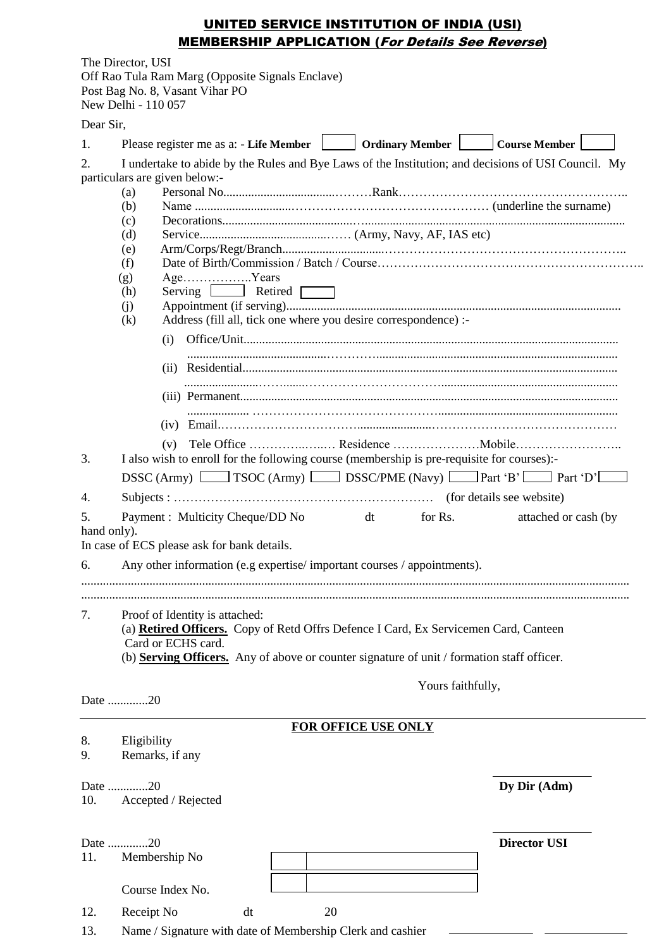# UNITED SERVICE INSTITUTION OF INDIA (USI) MEMBERSHIP APPLICATION (For Details See Reverse)

|                         | The Director, USI<br>New Delhi - 110 057                           | Off Rao Tula Ram Marg (Opposite Signals Enclave)<br>Post Bag No. 8, Vasant Vihar PO                                                                        |    |  |    |                            |                   |  |                                                                                                     |  |
|-------------------------|--------------------------------------------------------------------|------------------------------------------------------------------------------------------------------------------------------------------------------------|----|--|----|----------------------------|-------------------|--|-----------------------------------------------------------------------------------------------------|--|
| Dear Sir,               |                                                                    |                                                                                                                                                            |    |  |    |                            |                   |  |                                                                                                     |  |
| 1.                      |                                                                    |                                                                                                                                                            |    |  |    |                            |                   |  |                                                                                                     |  |
| 2.                      | (a)<br>(b)<br>(c)<br>(d)<br>(e)<br>(f)<br>(g)<br>(h)<br>(i)<br>(k) | particulars are given below:-<br>AgeYears<br>Serving <u>Luise</u> Retired<br>Address (fill all, tick one where you desire correspondence) :-<br>(i)        |    |  |    |                            |                   |  | I undertake to abide by the Rules and Bye Laws of the Institution; and decisions of USI Council. My |  |
|                         |                                                                    |                                                                                                                                                            |    |  |    |                            |                   |  |                                                                                                     |  |
|                         |                                                                    | (v)                                                                                                                                                        |    |  |    |                            |                   |  |                                                                                                     |  |
| 3.                      |                                                                    | I also wish to enroll for the following course (membership is pre-requisite for courses):-                                                                 |    |  |    |                            |                   |  |                                                                                                     |  |
|                         |                                                                    | DSSC (Army) $\Box$ TSOC (Army) $\Box$ DSSC/PME (Navy) $\Box$ Part 'B' $\Box$ Part 'D'                                                                      |    |  |    |                            |                   |  |                                                                                                     |  |
| 4.                      |                                                                    |                                                                                                                                                            |    |  |    |                            |                   |  |                                                                                                     |  |
| 5.<br>hand only).<br>6. |                                                                    | Payment : Multicity Cheque/DD No<br>In case of ECS please ask for bank details.<br>Any other information (e.g expertise/important courses / appointments). |    |  |    | $dt$ and $dt$              | for Rs.           |  | attached or cash (by                                                                                |  |
|                         |                                                                    |                                                                                                                                                            |    |  |    |                            |                   |  |                                                                                                     |  |
|                         |                                                                    |                                                                                                                                                            |    |  |    |                            |                   |  |                                                                                                     |  |
| 7.                      |                                                                    | Proof of Identity is attached:<br>Card or ECHS card.<br>(b) Serving Officers. Any of above or counter signature of unit / formation staff officer.         |    |  |    |                            |                   |  | (a) Retired Officers. Copy of Retd Offrs Defence I Card, Ex Servicemen Card, Canteen                |  |
|                         | Date 20                                                            |                                                                                                                                                            |    |  |    |                            | Yours faithfully, |  |                                                                                                     |  |
|                         |                                                                    |                                                                                                                                                            |    |  |    | <b>FOR OFFICE USE ONLY</b> |                   |  |                                                                                                     |  |
| 8.<br>9.                | Eligibility                                                        | Remarks, if any                                                                                                                                            |    |  |    |                            |                   |  |                                                                                                     |  |
| 10.                     | Date 20                                                            | Accepted / Rejected                                                                                                                                        |    |  |    |                            |                   |  | Dy Dir (Adm)                                                                                        |  |
| 11.                     | Date 20                                                            | Membership No                                                                                                                                              |    |  |    |                            |                   |  | <b>Director USI</b>                                                                                 |  |
|                         |                                                                    | Course Index No.                                                                                                                                           |    |  |    |                            |                   |  |                                                                                                     |  |
| 12.                     | Receipt No                                                         |                                                                                                                                                            | dt |  | 20 |                            |                   |  |                                                                                                     |  |

 $\overline{a}$ 

13. Name / Signature with date of Membership Clerk and cashier